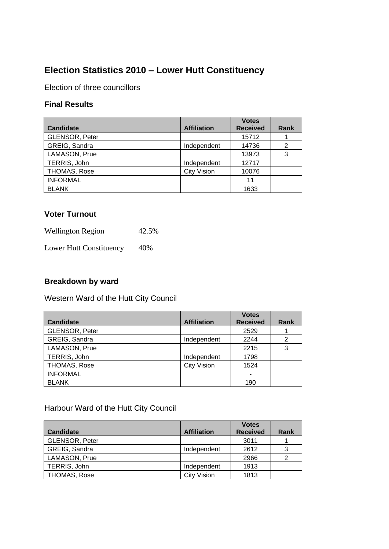# **Election Statistics 2010 – Lower Hutt Constituency**

Election of three councillors

#### **Final Results**

| <b>Candidate</b>      | <b>Affiliation</b> | <b>Votes</b><br><b>Received</b> | Rank           |
|-----------------------|--------------------|---------------------------------|----------------|
| <b>GLENSOR, Peter</b> |                    | 15712                           |                |
| GREIG, Sandra         | Independent        | 14736                           | $\overline{2}$ |
| LAMASON, Prue         |                    | 13973                           | 3              |
| TERRIS, John          | Independent        | 12717                           |                |
| THOMAS, Rose          | <b>City Vision</b> | 10076                           |                |
| <b>INFORMAL</b>       |                    | 11                              |                |
| <b>BLANK</b>          |                    | 1633                            |                |

#### **Voter Turnout**

| <b>Wellington Region</b> | 42.5% |
|--------------------------|-------|
| Lower Hutt Constituency  | 40%   |

#### **Breakdown by ward**

Western Ward of the Hutt City Council

|                  |                    | <b>Votes</b>    |      |
|------------------|--------------------|-----------------|------|
| <b>Candidate</b> | <b>Affiliation</b> | <b>Received</b> | Rank |
| GLENSOR, Peter   |                    | 2529            |      |
| GREIG, Sandra    | Independent        | 2244            |      |
| LAMASON, Prue    |                    | 2215            |      |
| TERRIS, John     | Independent        | 1798            |      |
| THOMAS, Rose     | <b>City Vision</b> | 1524            |      |
| <b>INFORMAL</b>  |                    | ۰               |      |
| <b>BLANK</b>     |                    | 190             |      |

Harbour Ward of the Hutt City Council

|                  |                    | <b>Votes</b>    |      |
|------------------|--------------------|-----------------|------|
| <b>Candidate</b> | <b>Affiliation</b> | <b>Received</b> | Rank |
| GLENSOR, Peter   |                    | 3011            |      |
| GREIG, Sandra    | Independent        | 2612            | 3    |
| LAMASON, Prue    |                    | 2966            | っ    |
| TERRIS, John     | Independent        | 1913            |      |
| THOMAS, Rose     | <b>City Vision</b> | 1813            |      |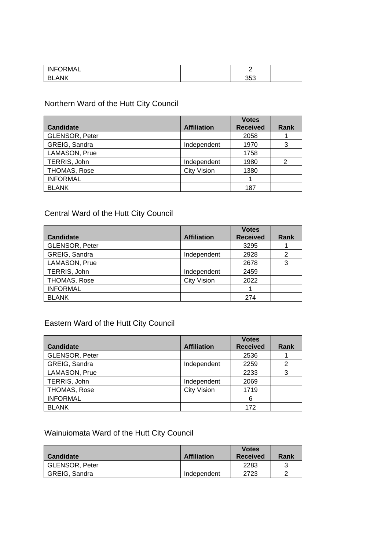| <b>INFORMAL</b> |     |  |
|-----------------|-----|--|
| .ank<br>- Bl    | 353 |  |

## Northern Ward of the Hutt City Council

|                       |                    | <b>Votes</b>    |      |
|-----------------------|--------------------|-----------------|------|
| <b>Candidate</b>      | <b>Affiliation</b> | <b>Received</b> | Rank |
| <b>GLENSOR, Peter</b> |                    | 2058            |      |
| GREIG, Sandra         | Independent        | 1970            |      |
| LAMASON, Prue         |                    | 1758            |      |
| TERRIS, John          | Independent        | 1980            | 2    |
| THOMAS, Rose          | <b>City Vision</b> | 1380            |      |
| <b>INFORMAL</b>       |                    |                 |      |
| <b>BLANK</b>          |                    | 187             |      |

## Central Ward of the Hutt City Council

|                  |                    | <b>Votes</b>    |      |
|------------------|--------------------|-----------------|------|
| <b>Candidate</b> | <b>Affiliation</b> | <b>Received</b> | Rank |
| GLENSOR, Peter   |                    | 3295            |      |
| GREIG, Sandra    | Independent        | 2928            | 2    |
| LAMASON, Prue    |                    | 2678            | 3    |
| TERRIS, John     | Independent        | 2459            |      |
| THOMAS, Rose     | <b>City Vision</b> | 2022            |      |
| <b>INFORMAL</b>  |                    |                 |      |
| <b>BLANK</b>     |                    | 274             |      |

## Eastern Ward of the Hutt City Council

|                       |                    | <b>Votes</b>    |      |
|-----------------------|--------------------|-----------------|------|
| <b>Candidate</b>      | <b>Affiliation</b> | <b>Received</b> | Rank |
| <b>GLENSOR, Peter</b> |                    | 2536            |      |
| GREIG, Sandra         | Independent        | 2259            | 2    |
| LAMASON, Prue         |                    | 2233            | 3    |
| TERRIS, John          | Independent        | 2069            |      |
| THOMAS, Rose          | <b>City Vision</b> | 1719            |      |
| <b>INFORMAL</b>       |                    | 6               |      |
| <b>BLANK</b>          |                    | 172             |      |

## Wainuiomata Ward of the Hutt City Council

| <b>Candidate</b>      | <b>Affiliation</b> | <b>Votes</b><br><b>Received</b> | Rank |
|-----------------------|--------------------|---------------------------------|------|
| <b>GLENSOR, Peter</b> |                    | 2283                            |      |
| <b>GREIG, Sandra</b>  | Independent        | 2723                            |      |